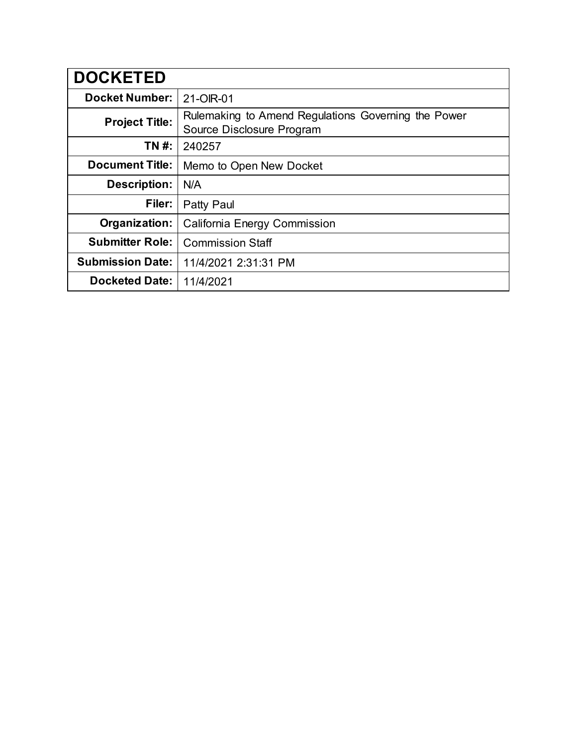| <b>DOCKETED</b>         |                                                                                  |
|-------------------------|----------------------------------------------------------------------------------|
| <b>Docket Number:</b>   | 21-OIR-01                                                                        |
| <b>Project Title:</b>   | Rulemaking to Amend Regulations Governing the Power<br>Source Disclosure Program |
| TN #:                   | 240257                                                                           |
| <b>Document Title:</b>  | Memo to Open New Docket                                                          |
| <b>Description:</b>     | N/A                                                                              |
| Filer:                  | Patty Paul                                                                       |
| Organization:           | California Energy Commission                                                     |
| <b>Submitter Role:</b>  | <b>Commission Staff</b>                                                          |
| <b>Submission Date:</b> | 11/4/2021 2:31:31 PM                                                             |
| <b>Docketed Date:</b>   | 11/4/2021                                                                        |